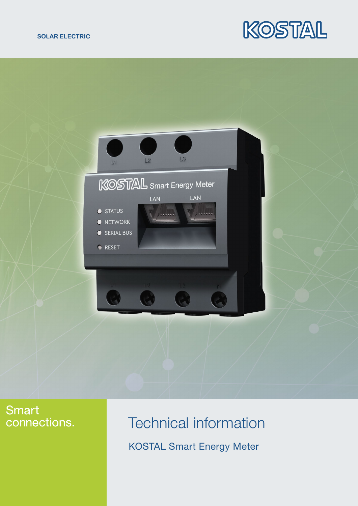#### **SOLAR ELECTRIC**





## **Smart** connections.

# Technical information KOSTAL Smart Energy Meter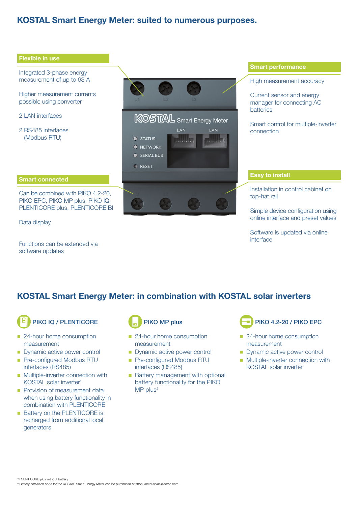#### KOSTAL Smart Energy Meter: suited to numerous purposes.



Functions can be extended via software updates

#### KOSTAL Smart Energy Meter: in combination with KOSTAL solar inverters

PIKO IQ / PLENTICORE

- 24-hour home consumption measurement
- **n** Dynamic active power control
- **n** Pre-configured Modbus RTU interfaces (RS485)
- $\blacksquare$  Multiple-inverter connection with KOSTAL solar inverter1
- Provision of measurement data when using battery functionality in combination with PLENTICORE
- Battery on the PLENTICORE is recharged from additional local generators



- 24-hour home consumption measurement
- **n** Dynamic active power control
- **n** Pre-configured Modbus RTU interfaces (RS485)
- Battery management with optional battery functionality for the PIKO  $MP$  plus<sup>2</sup>



- 24-hour home consumption measurement
- Dynamic active power control
- **n** Multiple-inverter connection with KOSTAL solar inverter

<sup>1)</sup> PLENTICORE plus without battery

2) Battery activation code for the KOSTAL Smart Energy Meter can be purchased at shop.kostal-solar-electric.com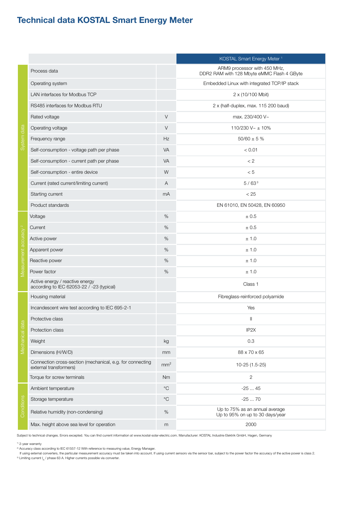### Technical data KOSTAL Smart Energy Meter

|                                   |                                                                                     |                   | KOSTAL Smart Energy Meter <sup>1</sup>                                     |
|-----------------------------------|-------------------------------------------------------------------------------------|-------------------|----------------------------------------------------------------------------|
| System data                       | Process data                                                                        |                   | ARM9 processor with 450 MHz,<br>DDR2 RAM with 128 Mbyte eMMC Flash 4 GByte |
|                                   | Operating system                                                                    |                   | Embedded Linux with integrated TCP/IP stack                                |
|                                   | LAN interfaces for Modbus TCP                                                       |                   | 2 x (10/100 Mbit)                                                          |
|                                   | RS485 interfaces for Modbus RTU                                                     |                   | 2 x (half-duplex, max. 115 200 baud)                                       |
|                                   | Rated voltage                                                                       | $\vee$            | max. 230/400 V~                                                            |
|                                   | Operating voltage                                                                   | V                 | 110/230 V~ ± 10%                                                           |
|                                   | Frequency range                                                                     | Hz                | $50/60 \pm 5 \%$                                                           |
|                                   | Self-consumption - voltage path per phase                                           | <b>VA</b>         | < 0.01                                                                     |
|                                   | Self-consumption - current path per phase                                           | <b>VA</b>         | < 2                                                                        |
|                                   | Self-consumption - entire device                                                    | W                 | < 5                                                                        |
|                                   | Current (rated current/limiting current)                                            | A                 | $5/63^{3}$                                                                 |
|                                   | Starting current                                                                    | mA                | < 25                                                                       |
|                                   | Product standards                                                                   |                   | EN 61010, EN 50428, EN 60950                                               |
| Measurement accuracy <sup>2</sup> | Voltage                                                                             | %                 | ± 0.5                                                                      |
|                                   | Current                                                                             | %                 | ± 0.5                                                                      |
|                                   | Active power                                                                        | %                 | ± 1.0                                                                      |
|                                   | Apparent power                                                                      | %                 | ± 1.0                                                                      |
|                                   | Reactive power                                                                      | %                 | ± 1.0                                                                      |
|                                   | Power factor                                                                        | %                 | ± 1.0                                                                      |
|                                   | Active energy / reactive energy<br>according to IEC 62053-22 / -23 (typical)        |                   | Class 1                                                                    |
| Mechanical data                   | Housing material                                                                    |                   | Fibreglass-reinforced polyamide                                            |
|                                   | Incandescent wire test according to IEC 695-2-1                                     |                   | Yes                                                                        |
|                                   | Protective class                                                                    |                   | $\label{eq:1} \prod_{i=1}^n \left\{ \prod_{i=1}^n \frac{1}{n_i} \right\}$  |
|                                   | Protection class                                                                    |                   | IP <sub>2X</sub>                                                           |
|                                   | Weight                                                                              | kg                | 0.3                                                                        |
|                                   | Dimensions (H/W/D)                                                                  | mm                | 88 x 70 x 65                                                               |
|                                   | Connection cross-section (mechanical, e.g. for connecting<br>external transformers) | mm <sup>2</sup>   | 10-25 (1.5-25)                                                             |
|                                   | Torque for screw terminals                                                          | Nm                | $\overline{2}$                                                             |
| Conditions                        | Ambient temperature                                                                 | $^{\circ}C$       | $-2545$                                                                    |
|                                   | Storage temperature                                                                 | $^{\circ}{\rm C}$ | $-2570$                                                                    |
|                                   | Relative humidity (non-condensing)                                                  | $\%$              | Up to 75% as an annual average<br>Up to 95% on up to 30 days/year          |
|                                   | Max. height above sea level for operation                                           | m                 | 2000                                                                       |

Subject to technical changes. Errors excepted. You can find current information at www.kostal-solar-electric.com. Manufacturer: KOSTAL Industrie Elektrik GmbH, Hagen, Germany

1) 2-year warranty

 If using external converters, the particular measurement accuracy must be taken into account. If using current sensors via the sensor bar, subject to the power factor the accuracy of the active power is class 2. <sup>3)</sup> Limiting current  $I_N$  / phase 63 A. Higher currents possible via converter.

<sup>&</sup>lt;sup>2)</sup> Accuracy class according to IEC 61557-12 With reference to measuring value, Energy Manager.